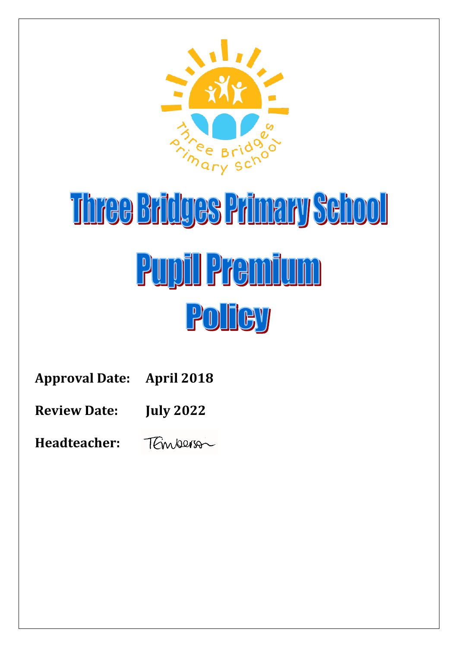

# Three Bridges Primary School **Pupil Premium** POITEV

**Approval Date: April 2018**

**Review Date: July 2022**

TEmperson **Headteacher:**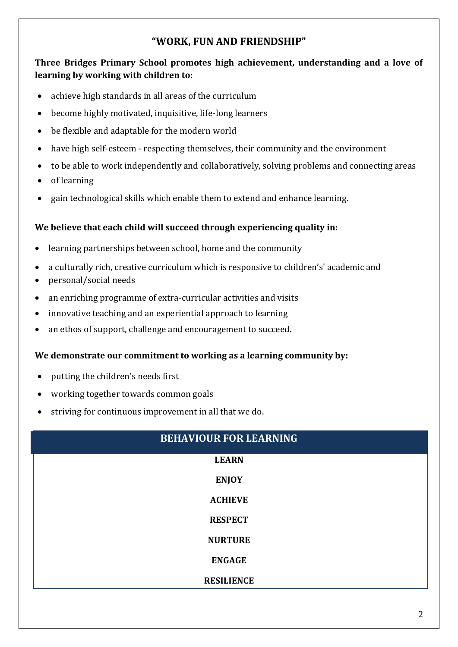## **"WORK, FUN AND FRIENDSHIP"**

## **Three Bridges Primary School promotes high achievement, understanding and a love of learning by working with children to:**

- achieve high standards in all areas of the curriculum
- become highly motivated, inquisitive, life-long learners
- be flexible and adaptable for the modern world
- have high self-esteem respecting themselves, their community and the environment
- to be able to work independently and collaboratively, solving problems and connecting areas
- of learning
- gain technological skills which enable them to extend and enhance learning.

#### **We believe that each child will succeed through experiencing quality in:**

- learning partnerships between school, home and the community
- a culturally rich, creative curriculum which is responsive to children's' academic and
- personal/social needs
- an enriching programme of extra-curricular activities and visits
- innovative teaching and an experiential approach to learning
- an ethos of support, challenge and encouragement to succeed.

#### **We demonstrate our commitment to working as a learning community by:**

- putting the children's needs first
- working together towards common goals
- striving for continuous improvement in all that we do.

| <b>BEHAVIOUR FOR LEARNING</b> |
|-------------------------------|
| <b>LEARN</b>                  |
| <b>ENJOY</b>                  |
| <b>ACHIEVE</b>                |
| <b>RESPECT</b>                |
| <b>NURTURE</b>                |
| <b>ENGAGE</b>                 |
| <b>RESILIENCE</b>             |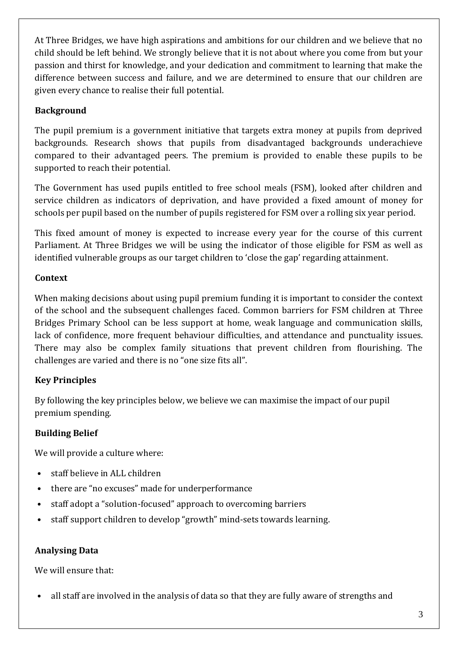At Three Bridges, we have high aspirations and ambitions for our children and we believe that no child should be left behind. We strongly believe that it is not about where you come from but your passion and thirst for knowledge, and your dedication and commitment to learning that make the difference between success and failure, and we are determined to ensure that our children are given every chance to realise their full potential.

# **Background**

The pupil premium is a government initiative that targets extra money at pupils from deprived backgrounds. Research shows that pupils from disadvantaged backgrounds underachieve compared to their advantaged peers. The premium is provided to enable these pupils to be supported to reach their potential.

The Government has used pupils entitled to free school meals (FSM), looked after children and service children as indicators of deprivation, and have provided a fixed amount of money for schools per pupil based on the number of pupils registered for FSM over a rolling six year period.

This fixed amount of money is expected to increase every year for the course of this current Parliament. At Three Bridges we will be using the indicator of those eligible for FSM as well as identified vulnerable groups as our target children to 'close the gap' regarding attainment.

#### **Context**

When making decisions about using pupil premium funding it is important to consider the context of the school and the subsequent challenges faced. Common barriers for FSM children at Three Bridges Primary School can be less support at home, weak language and communication skills, lack of confidence, more frequent behaviour difficulties, and attendance and punctuality issues. There may also be complex family situations that prevent children from flourishing. The challenges are varied and there is no "one size fits all".

#### **Key Principles**

By following the key principles below, we believe we can maximise the impact of our pupil premium spending.

#### **Building Belief**

We will provide a culture where:

- staff believe in ALL children
- there are "no excuses" made for underperformance
- staff adopt a "solution-focused" approach to overcoming barriers
- staff support children to develop "growth" mind-sets towards learning.

#### **Analysing Data**

We will ensure that:

• all staff are involved in the analysis of data so that they are fully aware of strengths and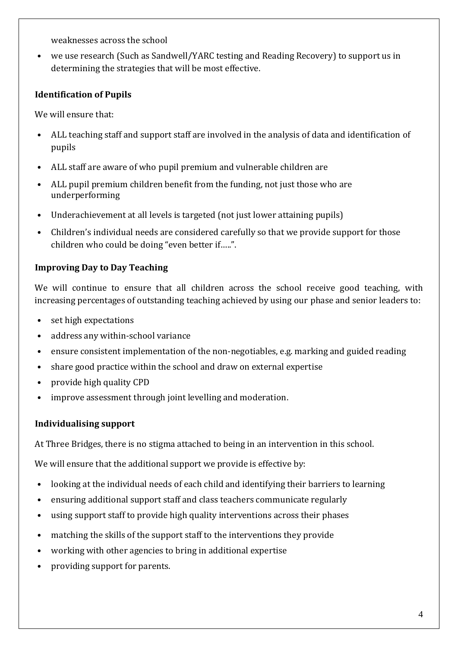weaknesses across the school

• we use research (Such as Sandwell/YARC testing and Reading Recovery) to support us in determining the strategies that will be most effective.

#### **Identification of Pupils**

We will ensure that:

- ALL teaching staff and support staff are involved in the analysis of data and identification of pupils
- ALL staff are aware of who pupil premium and vulnerable children are
- ALL pupil premium children benefit from the funding, not just those who are underperforming
- Underachievement at all levels is targeted (not just lower attaining pupils)
- Children's individual needs are considered carefully so that we provide support for those children who could be doing "even better if…..".

#### **Improving Day to Day Teaching**

We will continue to ensure that all children across the school receive good teaching, with increasing percentages of outstanding teaching achieved by using our phase and senior leaders to:

- set high expectations
- address any within-school variance
- ensure consistent implementation of the non-negotiables, e.g. marking and guided reading
- share good practice within the school and draw on external expertise
- provide high quality CPD
- improve assessment through joint levelling and moderation.

#### **Individualising support**

At Three Bridges, there is no stigma attached to being in an intervention in this school.

We will ensure that the additional support we provide is effective by:

- looking at the individual needs of each child and identifying their barriers to learning
- ensuring additional support staff and class teachers communicate regularly
- using support staff to provide high quality interventions across their phases
- matching the skills of the support staff to the interventions they provide
- working with other agencies to bring in additional expertise
- providing support for parents.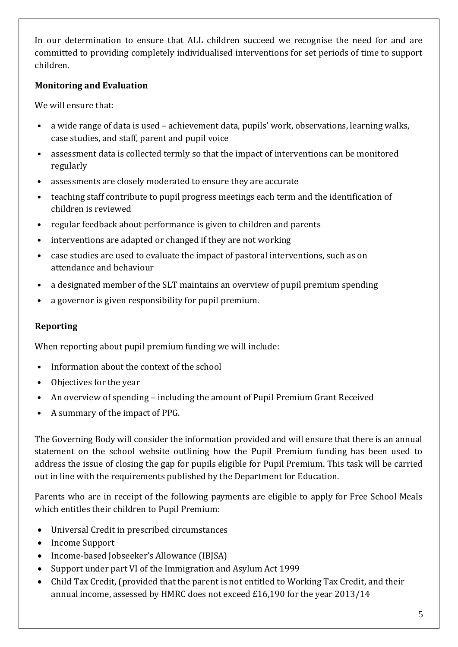In our determination to ensure that ALL children succeed we recognise the need for and are committed to providing completely individualised interventions for set periods of time to support children.

## **Monitoring and Evaluation**

We will ensure that:

- a wide range of data is used achievement data, pupils' work, observations, learning walks, case studies, and staff, parent and pupil voice
- assessment data is collected termly so that the impact of interventions can be monitored regularly
- assessments are closely moderated to ensure they are accurate
- teaching staff contribute to pupil progress meetings each term and the identification of children is reviewed
- regular feedback about performance is given to children and parents
- interventions are adapted or changed if they are not working
- case studies are used to evaluate the impact of pastoral interventions, such as on attendance and behaviour
- a designated member of the SLT maintains an overview of pupil premium spending
- a governor is given responsibility for pupil premium.

# **Reporting**

When reporting about pupil premium funding we will include:

- Information about the context of the school
- Objectives for the year
- An overview of spending including the amount of Pupil Premium Grant Received
- A summary of the impact of PPG.

The Governing Body will consider the information provided and will ensure that there is an annual statement on the school website outlining how the Pupil Premium funding has been used to address the issue of closing the gap for pupils eligible for Pupil Premium. This task will be carried out in line with the requirements published by the Department for Education.

Parents who are in receipt of the following payments are eligible to apply for Free School Meals which entitles their children to Pupil Premium:

- Universal Credit in prescribed circumstances
- Income Support
- Income-based Jobseeker's Allowance (IBJSA)
- Support under part VI of the Immigration and Asylum Act 1999
- Child Tax Credit, (provided that the parent is not entitled to Working Tax Credit, and their annual income, assessed by HMRC does not exceed £16,190 for the year 2013/14